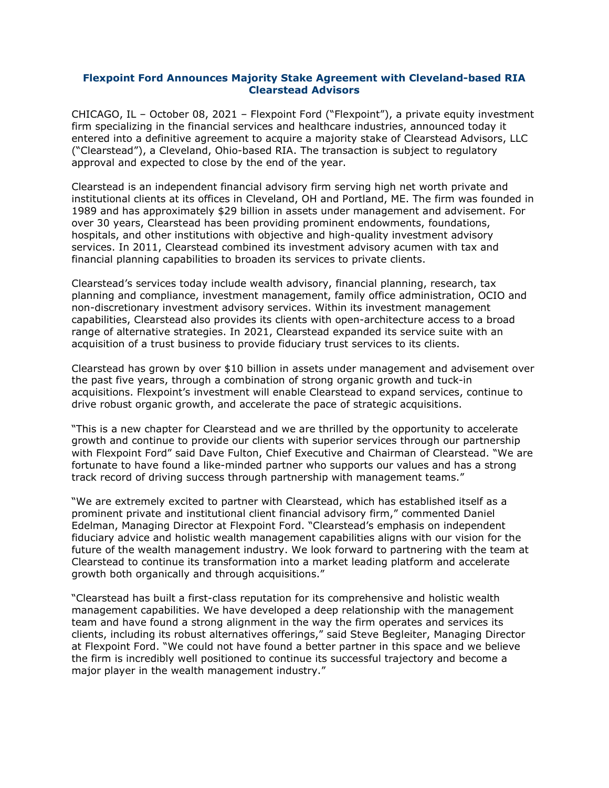## **Flexpoint Ford Announces Majority Stake Agreement with Cleveland-based RIA Clearstead Advisors**

CHICAGO, IL – October 08, 2021 – Flexpoint Ford ("Flexpoint"), a private equity investment firm specializing in the financial services and healthcare industries, announced today it entered into a definitive agreement to acquire a majority stake of Clearstead Advisors, LLC ("Clearstead"), a Cleveland, Ohio-based RIA. The transaction is subject to regulatory approval and expected to close by the end of the year.

Clearstead is an independent financial advisory firm serving high net worth private and institutional clients at its offices in Cleveland, OH and Portland, ME. The firm was founded in 1989 and has approximately \$29 billion in assets under management and advisement. For over 30 years, Clearstead has been providing prominent endowments, foundations, hospitals, and other institutions with objective and high-quality investment advisory services. In 2011, Clearstead combined its investment advisory acumen with tax and financial planning capabilities to broaden its services to private clients.

Clearstead's services today include wealth advisory, financial planning, research, tax planning and compliance, investment management, family office administration, OCIO and non-discretionary investment advisory services. Within its investment management capabilities, Clearstead also provides its clients with open-architecture access to a broad range of alternative strategies. In 2021, Clearstead expanded its service suite with an acquisition of a trust business to provide fiduciary trust services to its clients.

Clearstead has grown by over \$10 billion in assets under management and advisement over the past five years, through a combination of strong organic growth and tuck-in acquisitions. Flexpoint's investment will enable Clearstead to expand services, continue to drive robust organic growth, and accelerate the pace of strategic acquisitions.

"This is a new chapter for Clearstead and we are thrilled by the opportunity to accelerate growth and continue to provide our clients with superior services through our partnership with Flexpoint Ford" said Dave Fulton, Chief Executive and Chairman of Clearstead. "We are fortunate to have found a like-minded partner who supports our values and has a strong track record of driving success through partnership with management teams."

"We are extremely excited to partner with Clearstead, which has established itself as a prominent private and institutional client financial advisory firm," commented Daniel Edelman, Managing Director at Flexpoint Ford. "Clearstead's emphasis on independent fiduciary advice and holistic wealth management capabilities aligns with our vision for the future of the wealth management industry. We look forward to partnering with the team at Clearstead to continue its transformation into a market leading platform and accelerate growth both organically and through acquisitions."

"Clearstead has built a first-class reputation for its comprehensive and holistic wealth management capabilities. We have developed a deep relationship with the management team and have found a strong alignment in the way the firm operates and services its clients, including its robust alternatives offerings," said Steve Begleiter, Managing Director at Flexpoint Ford. "We could not have found a better partner in this space and we believe the firm is incredibly well positioned to continue its successful trajectory and become a major player in the wealth management industry."